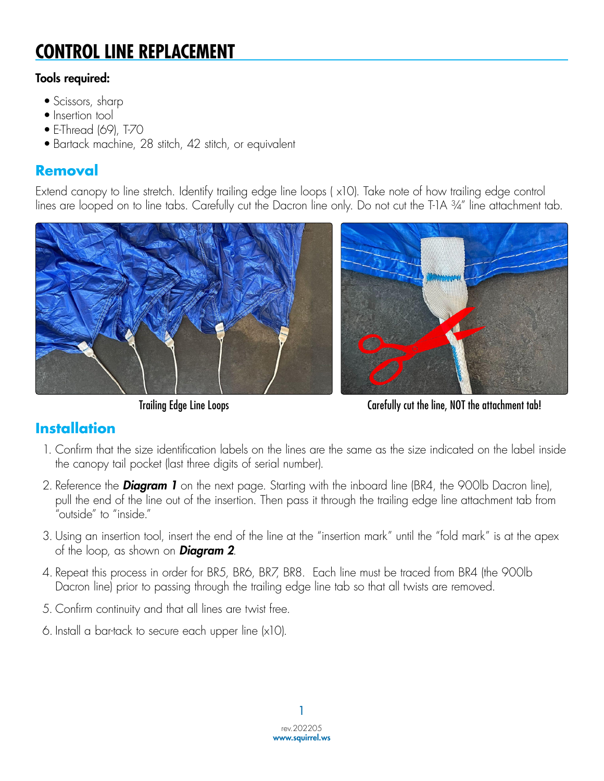# **CONTROL LINE REPLACEMENT**

#### Tools required:

- Scissors, sharp
- Insertion tool
- E-Thread (69), T-70
- Bartack machine, 28 stitch, 42 stitch, or equivalent

### **Removal**

Extend canopy to line stretch. Identify trailing edge line loops ( x10). Take note of how trailing edge control lines are looped on to line tabs. Carefully cut the Dacron line only. Do not cut the T-1A ¾" line attachment tab.



Trailing Edge Line Loops Carefully cut the line, NOT the attachment tab!

### **Installation**

- 1. Confirm that the size identification labels on the lines are the same as the size indicated on the label inside the canopy tail pocket (last three digits of serial number).
- 2. Reference the *Diagram 1* on the next page. Starting with the inboard line (BR4, the 900lb Dacron line), pull the end of the line out of the insertion. Then pass it through the trailing edge line attachment tab from "outside" to "inside."
- 3. Using an insertion tool, insert the end of the line at the "insertion mark" until the "fold mark" is at the apex of the loop, as shown on *Diagram 2*.
- 4. Repeat this process in order for BR5, BR6, BR7, BR8. Each line must be traced from BR4 (the 900lb Dacron line) prior to passing through the trailing edge line tab so that all twists are removed.
- 5. Confirm continuity and that all lines are twist free.
- 6. Install a bar-tack to secure each upper line (x10).